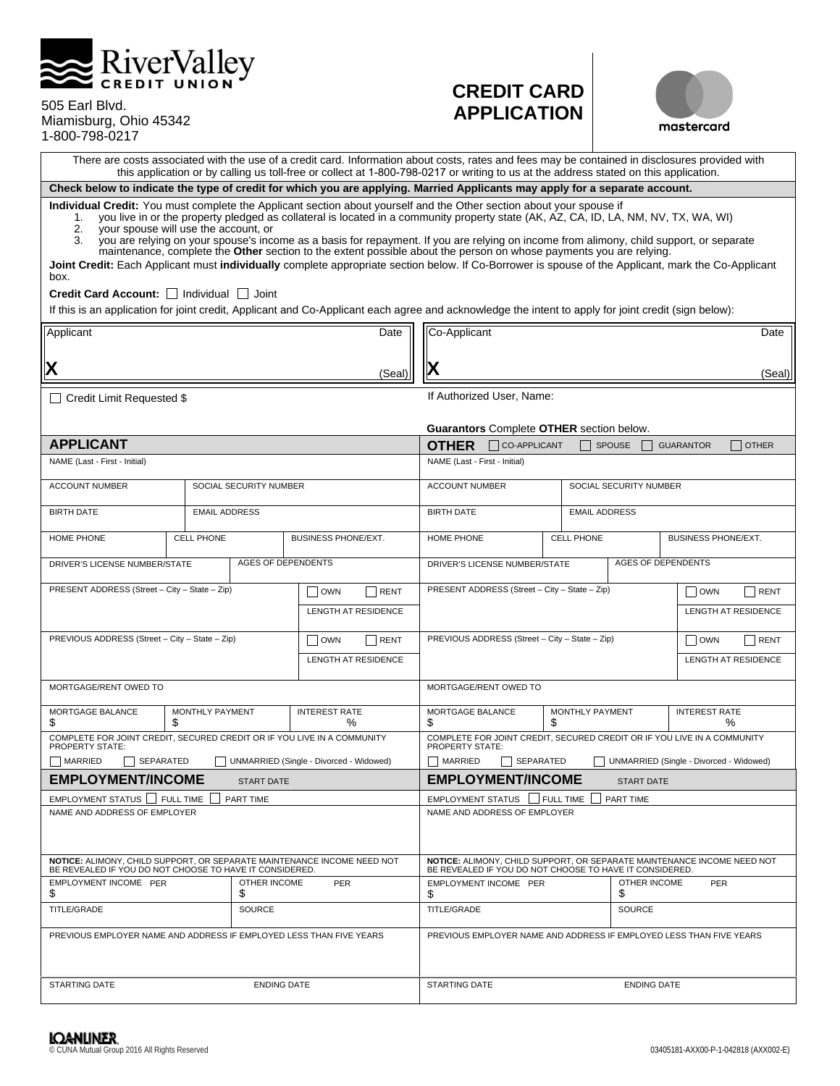

| 505 Earl Blvd.         |
|------------------------|
| Miamisburg, Ohio 45342 |
| 1-800-798-0217         |

# **CREDIT CARD APPLICATION**



There are costs associated with the use of a credit card. Information about costs, rates and fees may be contained in disclosures provided with this application or by calling us toll-free or collect at 1-800-798-0217 or writing to us at the address stated on this application.

**Check below to indicate the type of credit for which you are applying. Married Applicants may apply for a separate account.** 

**Individual Credit:** You must complete the Applicant section about yourself and the Other section about your spouse if

- 1. you live in or the property pledged as collateral is located in a community property state (AK, AZ, CA, ID, LA, NM, NV, TX, WA, WI) 2. your spouse will use the account, or<br>3. you are relying on your spouse's inco
- 3. you are relying on your spouse's income as a basis for repayment. If you are relying on income from alimony, child support, or separate maintenance, complete the **Other** section to the extent possible about the person on whose payments you are relying.

**Joint Credit:** Each Applicant must **individually** complete appropriate section below. If Co-Borrower is spouse of the Applicant, mark the Co-Applicant box.

Credit Card Account:  $\Box$  Individual  $\Box$  Joint

If this is an application for joint credit, Applicant and Co-Applicant each agree and acknowledge the intent to apply for joint credit (sign below):

| Applicant                                                                                                                          |                      |                           |                                         | Date                                                                                                                               | Co-Applicant                                                            |                                                                     |                                                 |                                         |                     | Date         |
|------------------------------------------------------------------------------------------------------------------------------------|----------------------|---------------------------|-----------------------------------------|------------------------------------------------------------------------------------------------------------------------------------|-------------------------------------------------------------------------|---------------------------------------------------------------------|-------------------------------------------------|-----------------------------------------|---------------------|--------------|
| Х                                                                                                                                  |                      |                           |                                         | (Seal                                                                                                                              |                                                                         |                                                                     |                                                 |                                         |                     | (Seal)       |
|                                                                                                                                    |                      |                           |                                         |                                                                                                                                    |                                                                         |                                                                     |                                                 |                                         |                     |              |
| $\Box$ Credit Limit Requested \$                                                                                                   |                      |                           |                                         |                                                                                                                                    |                                                                         | If Authorized User, Name:                                           |                                                 |                                         |                     |              |
|                                                                                                                                    |                      |                           |                                         |                                                                                                                                    |                                                                         |                                                                     | <b>Guarantors Complete OTHER section below.</b> |                                         |                     |              |
| <b>APPLICANT</b>                                                                                                                   |                      |                           |                                         |                                                                                                                                    | <b>OTHER</b>                                                            | CO-APPLICANT                                                        |                                                 | <b>SPOUSE</b>                           | <b>GUARANTOR</b>    | $\Box$ OTHER |
| NAME (Last - First - Initial)                                                                                                      |                      |                           |                                         |                                                                                                                                    | NAME (Last - First - Initial)                                           |                                                                     |                                                 |                                         |                     |              |
| <b>ACCOUNT NUMBER</b>                                                                                                              |                      | SOCIAL SECURITY NUMBER    |                                         |                                                                                                                                    | <b>ACCOUNT NUMBER</b>                                                   |                                                                     |                                                 | SOCIAL SECURITY NUMBER                  |                     |              |
| <b>BIRTH DATE</b>                                                                                                                  | <b>EMAIL ADDRESS</b> |                           |                                         |                                                                                                                                    | <b>BIRTH DATE</b>                                                       |                                                                     | <b>EMAIL ADDRESS</b>                            |                                         |                     |              |
| HOME PHONE                                                                                                                         | <b>CELL PHONE</b>    |                           | BUSINESS PHONE/EXT.                     |                                                                                                                                    | HOME PHONE                                                              |                                                                     | <b>CELL PHONE</b>                               |                                         | BUSINESS PHONE/EXT. |              |
| DRIVER'S LICENSE NUMBER/STATE                                                                                                      |                      | <b>AGES OF DEPENDENTS</b> |                                         |                                                                                                                                    | DRIVER'S LICENSE NUMBER/STATE                                           |                                                                     |                                                 | <b>AGES OF DEPENDENTS</b>               |                     |              |
| PRESENT ADDRESS (Street - City - State - Zip)                                                                                      |                      |                           | $\vert$ $\vert$ OWN                     | l Irent                                                                                                                            |                                                                         |                                                                     | PRESENT ADDRESS (Street - City - State - Zip)   |                                         | OWN                 | RENT         |
|                                                                                                                                    |                      |                           | LENGTH AT RESIDENCE                     |                                                                                                                                    |                                                                         | <b>LENGTH AT RESIDENCE</b>                                          |                                                 |                                         |                     |              |
| PREVIOUS ADDRESS (Street - City - State - Zip)                                                                                     |                      |                           | I Iown                                  | <b>I</b> RENT                                                                                                                      | PREVIOUS ADDRESS (Street - City - State - Zip)<br>    OWN<br>l RENT     |                                                                     |                                                 |                                         |                     |              |
| <b>LENGTH AT RESIDENCE</b>                                                                                                         |                      |                           |                                         |                                                                                                                                    |                                                                         |                                                                     |                                                 | LENGTH AT RESIDENCE                     |                     |              |
| MORTGAGE/RENT OWED TO                                                                                                              |                      |                           | MORTGAGE/RENT OWED TO                   |                                                                                                                                    |                                                                         |                                                                     |                                                 |                                         |                     |              |
| MORTGAGE BALANCE<br>MONTHLY PAYMENT<br><b>INTEREST RATE</b><br>\$<br>$\%$<br>£.                                                    |                      |                           | MORTGAGE BALANCE<br>S                   |                                                                                                                                    | MONTHLY PAYMENT<br>£.                                                   |                                                                     | <b>INTEREST RATE</b><br>℅                       |                                         |                     |              |
| COMPLETE FOR JOINT CREDIT. SECURED CREDIT OR IF YOU LIVE IN A COMMUNITY<br><b>PROPERTY STATE:</b>                                  |                      |                           | <b>PROPERTY STATE:</b>                  |                                                                                                                                    | COMPLETE FOR JOINT CREDIT. SECURED CREDIT OR IF YOU LIVE IN A COMMUNITY |                                                                     |                                                 |                                         |                     |              |
| MARRIED<br><b>SEPARATED</b>                                                                                                        |                      |                           | UNMARRIED (Single - Divorced - Widowed) |                                                                                                                                    | MARRIED                                                                 | SEPARATED                                                           |                                                 | UNMARRIED (Single - Divorced - Widowed) |                     |              |
| <b>EMPLOYMENT/INCOME</b>                                                                                                           |                      | <b>START DATE</b>         |                                         |                                                                                                                                    | <b>EMPLOYMENT/INCOME</b>                                                |                                                                     |                                                 | <b>START DATE</b>                       |                     |              |
| EMPLOYMENT STATUS I FULL TIME                                                                                                      |                      | PART TIME                 |                                         |                                                                                                                                    | EMPLOYMENT STATUS   FULL TIME                                           |                                                                     |                                                 | <b>PART TIME</b>                        |                     |              |
| NAME AND ADDRESS OF EMPLOYER                                                                                                       |                      |                           | NAME AND ADDRESS OF EMPLOYER            |                                                                                                                                    |                                                                         |                                                                     |                                                 |                                         |                     |              |
| NOTICE: ALIMONY, CHILD SUPPORT, OR SEPARATE MAINTENANCE INCOME NEED NOT<br>BE REVEALED IF YOU DO NOT CHOOSE TO HAVE IT CONSIDERED. |                      |                           |                                         | NOTICE: ALIMONY, CHILD SUPPORT, OR SEPARATE MAINTENANCE INCOME NEED NOT<br>BE REVEALED IF YOU DO NOT CHOOSE TO HAVE IT CONSIDERED. |                                                                         |                                                                     |                                                 |                                         |                     |              |
| EMPLOYMENT INCOME PER<br>\$                                                                                                        |                      | OTHER INCOME<br>\$        | <b>PER</b>                              |                                                                                                                                    | \$                                                                      | EMPLOYMENT INCOME PER<br>\$                                         |                                                 | OTHER INCOME                            | PER                 |              |
| TITLE/GRADE                                                                                                                        |                      | SOURCE                    |                                         |                                                                                                                                    | TITLE/GRADE<br>SOURCE                                                   |                                                                     |                                                 |                                         |                     |              |
| PREVIOUS EMPLOYER NAME AND ADDRESS IF EMPLOYED LESS THAN FIVE YEARS                                                                |                      |                           |                                         |                                                                                                                                    |                                                                         | PREVIOUS EMPLOYER NAME AND ADDRESS IF EMPLOYED LESS THAN FIVE YEARS |                                                 |                                         |                     |              |
| <b>STARTING DATE</b><br><b>ENDING DATE</b>                                                                                         |                      |                           | <b>STARTING DATE</b>                    |                                                                                                                                    |                                                                         | <b>ENDING DATE</b>                                                  |                                                 |                                         |                     |              |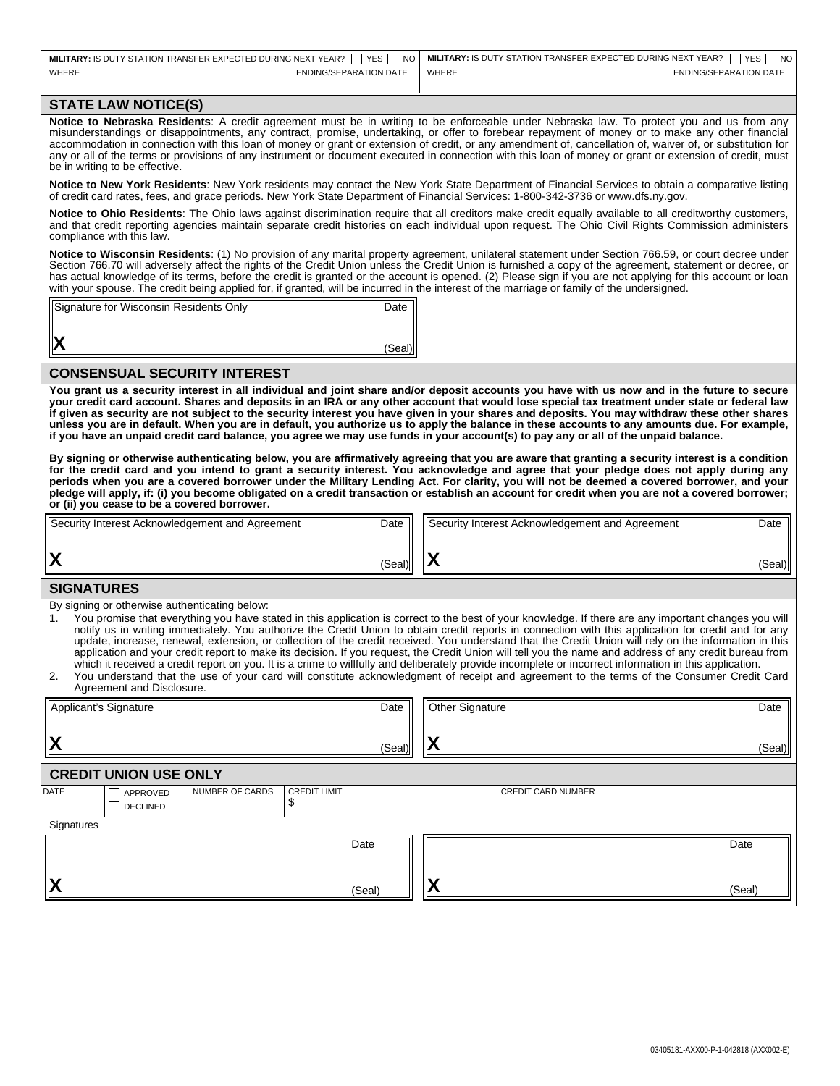| MILITARY: IS DUTY STATION TRANSFER EXPECTED DURING NEXT YEAR? $\Box$ YES $\Box$ NO   MILITARY: IS DUTY STATION TRANSFER EXPECTED DURING NEXT YEAR? $\Box$ YES $\Box$ NO |                        |       |                        |
|-------------------------------------------------------------------------------------------------------------------------------------------------------------------------|------------------------|-------|------------------------|
| <b>WHERE</b>                                                                                                                                                            | ENDING/SEPARATION DATE | WHERE | ENDING/SEPARATION DATE |

## **STATE LAW NOTICE(S)**

**Notice to Nebraska Residents**: A credit agreement must be in writing to be enforceable under Nebraska law. To protect you and us from any misunderstandings or disappointments, any contract, promise, undertaking, or offer to forebear repayment of money or to make any other financial accommodation in connection with this loan of money or grant or extension of credit, or any amendment of, cancellation of, waiver of, or substitution for any or all of the terms or provisions of any instrument or document executed in connection with this loan of money or grant or extension of credit, must be in writing to be effective.

**Notice to New York Residents**: New York residents may contact the New York State Department of Financial Services to obtain a comparative listing of credit card rates, fees, and grace periods. New York State Department of Financial Services: 1-800-342-3736 or www.dfs.ny.gov.

**Notice to Ohio Residents**: The Ohio laws against discrimination require that all creditors make credit equally available to all creditworthy customers, and that credit reporting agencies maintain separate credit histories on each individual upon request. The Ohio Civil Rights Commission administers compliance with this law.

**Notice to Wisconsin Residents**: (1) No provision of any marital property agreement, unilateral statement under Section 766.59, or court decree under Section 766.70 will adversely affect the rights of the Credit Union unless the Credit Union is furnished a copy of the agreement, statement or decree, or has actual knowledge of its terms, before the credit is granted or the account is opened. (2) Please sign if you are not applying for this account or loan with your spouse. The credit being applied for, if granted, will be incurred in the interest of the marriage or family of the undersigned.

| Date   |
|--------|
|        |
| (Seal) |
|        |

#### **CONSENSUAL SECURITY INTEREST**

**You grant us a security interest in all individual and joint share and/or deposit accounts you have with us now and in the future to secure your credit card account. Shares and deposits in an IRA or any other account that would lose special tax treatment under state or federal law if given as security are not subject to the security interest you have given in your shares and deposits. You may withdraw these other shares unless you are in default. When you are in default, you authorize us to apply the balance in these accounts to any amounts due. For example, if you have an unpaid credit card balance, you agree we may use funds in your account(s) to pay any or all of the unpaid balance.** 

**By signing or otherwise authenticating below, you are affirmatively agreeing that you are aware that granting a security interest is a condition for the credit card and you intend to grant a security interest. You acknowledge and agree that your pledge does not apply during any periods when you are a covered borrower under the Military Lending Act. For clarity, you will not be deemed a covered borrower, and your pledge will apply, if: (i) you become obligated on a credit transaction or establish an account for credit when you are not a covered borrower; or (ii) you cease to be a covered borrower.** 

| lХ<br>(Seal)I     |  | (Seal) |
|-------------------|--|--------|
| <b>SIGNATHDES</b> |  |        |

#### **SIGNATURES**

By signing or otherwise authenticating below:

You promise that everything you have stated in this application is correct to the best of your knowledge. If there are any important changes you will notify us in writing immediately. You authorize the Credit Union to obtain credit reports in connection with this application for credit and for any update, increase, renewal, extension, or collection of the credit received. You understand that the Credit Union will rely on the information in this application and your credit report to make its decision. If you request, the Credit Union will tell you the name and address of any credit bureau from which it received a credit report on you. It is a crime to willfully and deliberately provide incomplete or incorrect information in this application.

| Agreement and Disclosure.                                                                                                                 |  |  |  |  |  |  |
|-------------------------------------------------------------------------------------------------------------------------------------------|--|--|--|--|--|--|
| You understand that the use of your card will constitute acknowledgment of receipt and agreement to the terms of the Consumer Credit Card |  |  |  |  |  |  |
|                                                                                                                                           |  |  |  |  |  |  |

| X           | Applicant's Signature<br>Date<br>(Seal) |                        |                            | Other Signature<br>IХ |    | Date<br>(Seal)            |        |
|-------------|-----------------------------------------|------------------------|----------------------------|-----------------------|----|---------------------------|--------|
|             | <b>CREDIT UNION USE ONLY</b>            |                        |                            |                       |    |                           |        |
| <b>DATE</b> | APPROVED<br><b>DECLINED</b>             | <b>NUMBER OF CARDS</b> | <b>CREDIT LIMIT</b><br>A.D |                       |    | <b>CREDIT CARD NUMBER</b> |        |
| Signatures  |                                         |                        |                            |                       |    |                           |        |
| X           |                                         |                        |                            | Date                  | ∣א |                           | Date   |
|             |                                         |                        |                            | (Seal)                |    |                           | (Seal) |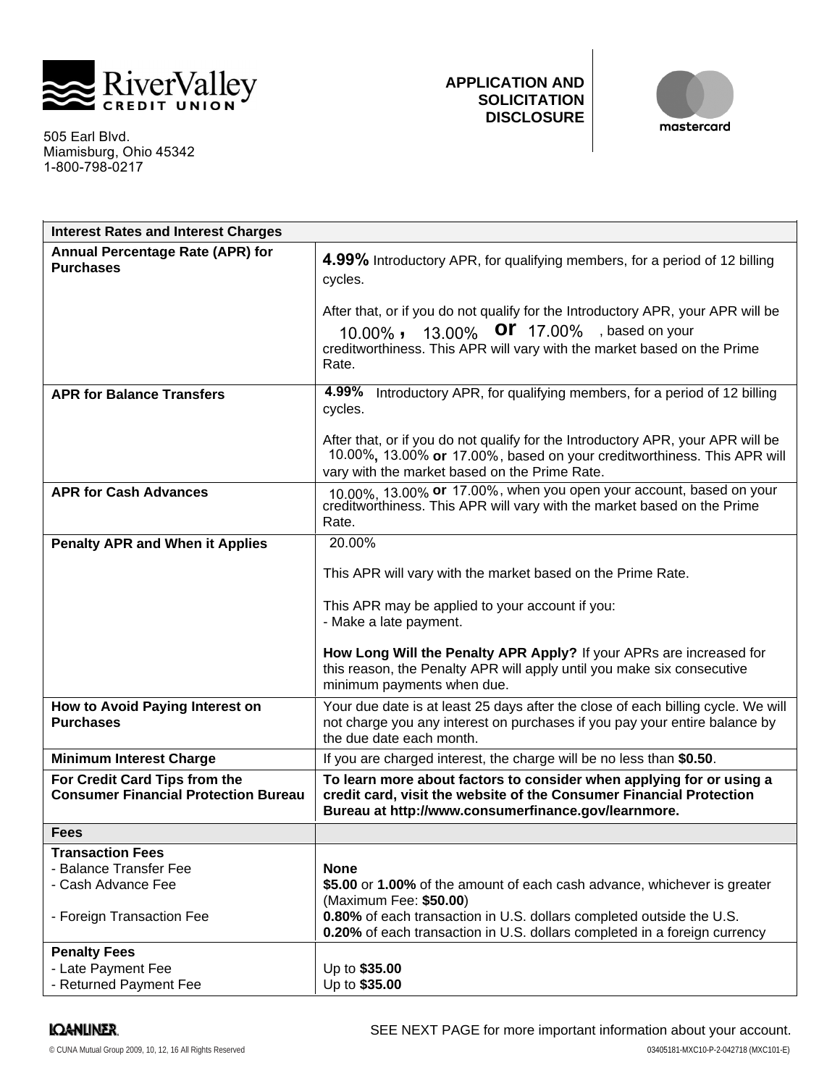

505 Earl Blvd. Miamisburg, 1-800-798-0217 Ohio 45342

# **APPLICATION AND SOLICITATION DISCLOSURE**



| <b>Interest Rates and Interest Charges</b>                                   |                                                                                                                                                                                                                            |
|------------------------------------------------------------------------------|----------------------------------------------------------------------------------------------------------------------------------------------------------------------------------------------------------------------------|
| Annual Percentage Rate (APR) for<br><b>Purchases</b>                         | 4.99% Introductory APR, for qualifying members, for a period of 12 billing<br>cycles.<br>After that, or if you do not qualify for the Introductory APR, your APR will be<br>13.00% OF 17.00%, based on your<br>$10.00\%$ , |
|                                                                              | creditworthiness. This APR will vary with the market based on the Prime<br>Rate.                                                                                                                                           |
| <b>APR for Balance Transfers</b>                                             | 4.99%<br>Introductory APR, for qualifying members, for a period of 12 billing<br>cycles.                                                                                                                                   |
|                                                                              | After that, or if you do not qualify for the Introductory APR, your APR will be<br>10.00%, 13.00% or 17.00%, based on your creditworthiness. This APR will<br>vary with the market based on the Prime Rate.                |
| <b>APR for Cash Advances</b>                                                 | 10.00%, 13.00% or 17.00%, when you open your account, based on your<br>creditworthiness. This APR will vary with the market based on the Prime<br>Rate.                                                                    |
| <b>Penalty APR and When it Applies</b>                                       | 20.00%                                                                                                                                                                                                                     |
|                                                                              | This APR will vary with the market based on the Prime Rate.                                                                                                                                                                |
|                                                                              | This APR may be applied to your account if you:<br>- Make a late payment.                                                                                                                                                  |
|                                                                              | How Long Will the Penalty APR Apply? If your APRs are increased for<br>this reason, the Penalty APR will apply until you make six consecutive<br>minimum payments when due.                                                |
| How to Avoid Paying Interest on<br><b>Purchases</b>                          | Your due date is at least 25 days after the close of each billing cycle. We will<br>not charge you any interest on purchases if you pay your entire balance by<br>the due date each month.                                 |
| <b>Minimum Interest Charge</b>                                               | If you are charged interest, the charge will be no less than \$0.50.                                                                                                                                                       |
| For Credit Card Tips from the<br><b>Consumer Financial Protection Bureau</b> | To learn more about factors to consider when applying for or using a<br>credit card, visit the website of the Consumer Financial Protection<br>Bureau at http://www.consumerfinance.gov/learnmore.                         |
| <b>Fees</b>                                                                  |                                                                                                                                                                                                                            |
| <b>Transaction Fees</b>                                                      |                                                                                                                                                                                                                            |
| - Balance Transfer Fee                                                       | <b>None</b>                                                                                                                                                                                                                |
| - Cash Advance Fee                                                           | \$5.00 or 1.00% of the amount of each cash advance, whichever is greater<br>(Maximum Fee: \$50.00)                                                                                                                         |
| - Foreign Transaction Fee                                                    | 0.80% of each transaction in U.S. dollars completed outside the U.S.<br>0.20% of each transaction in U.S. dollars completed in a foreign currency                                                                          |
| <b>Penalty Fees</b>                                                          |                                                                                                                                                                                                                            |
| - Late Payment Fee                                                           | Up to \$35.00                                                                                                                                                                                                              |
| - Returned Payment Fee                                                       | Up to \$35.00                                                                                                                                                                                                              |

# **IQANLINER**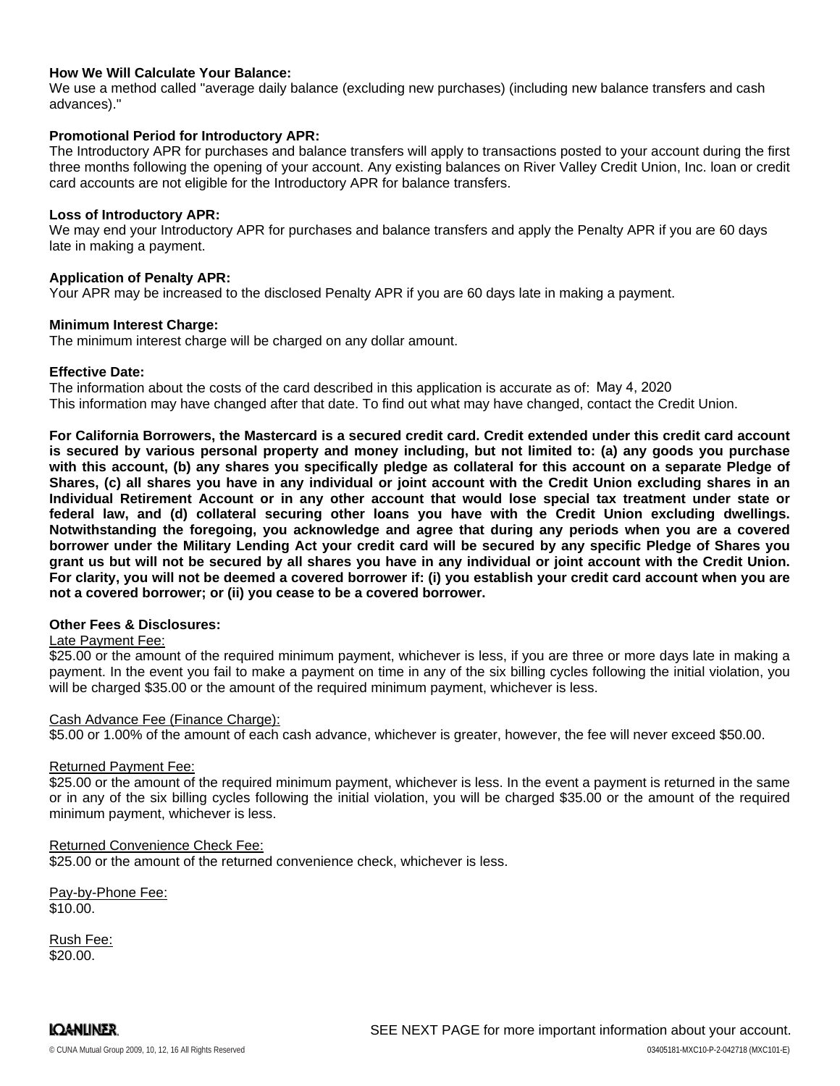# **How We Will Calculate Your Balance:**

We use a method called "average daily balance (excluding new purchases) (including new balance transfers and cash advances)."

## **Promotional Period for Introductory APR:**

The Introductory APR for purchases and balance transfers will apply to transactions posted to your account during the first three months following the opening of your account. Any existing balances on River Valley Credit Union, Inc. loan or credit card accounts are not eligible for the Introductory APR for balance transfers.

## **Loss of Introductory APR:**

We may end your Introductory APR for purchases and balance transfers and apply the Penalty APR if you are 60 days late in making a payment.

## **Application of Penalty APR:**

Your APR may be increased to the disclosed Penalty APR if you are 60 days late in making a payment.

#### **Minimum Interest Charge:**

The minimum interest charge will be charged on any dollar amount.

#### **Effective Date:**

The information about the costs of the card described in this application is accurate as of: May 4, 2020This information may have changed after that date. To find out what may have changed, contact the Credit Union.

**For California Borrowers, the Mastercard is a secured credit card. Credit extended under this credit card account is secured by various personal property and money including, but not limited to: (a) any goods you purchase with this account, (b) any shares you specifically pledge as collateral for this account on a separate Pledge of Shares, (c) all shares you have in any individual or joint account with the Credit Union excluding shares in an Individual Retirement Account or in any other account that would lose special tax treatment under state or federal law, and (d) collateral securing other loans you have with the Credit Union excluding dwellings. Notwithstanding the foregoing, you acknowledge and agree that during any periods when you are a covered borrower under the Military Lending Act your credit card will be secured by any specific Pledge of Shares you grant us but will not be secured by all shares you have in any individual or joint account with the Credit Union. For clarity, you will not be deemed a covered borrower if: (i) you establish your credit card account when you are not a covered borrower; or (ii) you cease to be a covered borrower.**

## **Other Fees & Disclosures:**

## Late Payment Fee:

\$25.00 or the amount of the required minimum payment, whichever is less, if you are three or more days late in making a payment. In the event you fail to make a payment on time in any of the six billing cycles following the initial violation, you will be charged \$35.00 or the amount of the required minimum payment, whichever is less.

#### Cash Advance Fee (Finance Charge):

\$5.00 or 1.00% of the amount of each cash advance, whichever is greater, however, the fee will never exceed \$50.00.

#### Returned Payment Fee:

\$25.00 or the amount of the required minimum payment, whichever is less. In the event a payment is returned in the same or in any of the six billing cycles following the initial violation, you will be charged \$35.00 or the amount of the required minimum payment, whichever is less.

## Returned Convenience Check Fee:

\$25.00 or the amount of the returned convenience check, whichever is less.

Pay-by-Phone Fee: \$10.00.

Rush Fee: \$20.00.